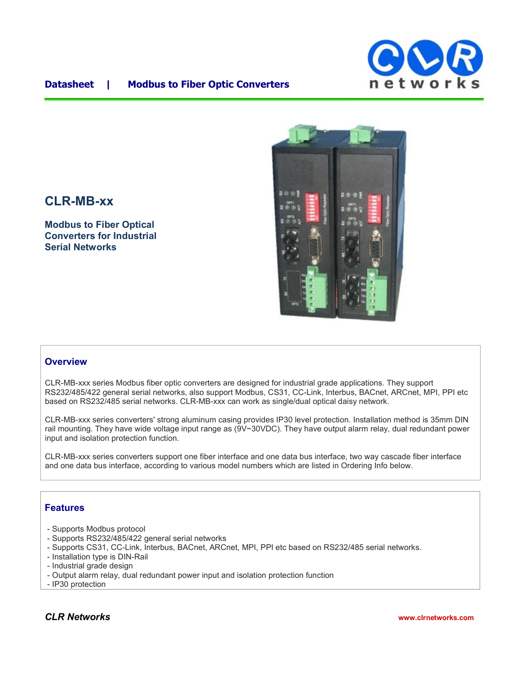

## **Datasheet | Modbus to Fiber Optic Converters**

# **CLR-MB-xx**

**Modbus to Fiber Optical Converters for Industrial Serial Networks**



#### **Overview**

CLR-MB-xxx series Modbus fiber optic converters are designed for industrial grade applications. They support RS232/485/422 general serial networks, also support Modbus, CS31, CC-Link, Interbus, BACnet, ARCnet, MPI, PPI etc based on RS232/485 serial networks. CLR-MB-xxx can work as single/dual optical daisy network.

CLR-MB-xxx series converters' strong aluminum casing provides IP30 level protection. Installation method is 35mm DIN rail mounting. They have wide voltage input range as (9V~30VDC). They have output alarm relay, dual redundant power input and isolation protection function.

CLR-MB-xxx series converters support one fiber interface and one data bus interface, two way cascade fiber interface and one data bus interface, according to various model numbers which are listed in Ordering Info below.

## **Features**

- Supports Modbus protocol
- Supports RS232/485/422 general serial networks
- Supports CS31, CC-Link, Interbus, BACnet, ARCnet, MPI, PPI etc based on RS232/485 serial networks.
- Installation type is DIN-Rail
- Industrial grade design
- Output alarm relay, dual redundant power input and isolation protection function
- IP30 protection

## *CLR Networks* **www.clrnetworks.com**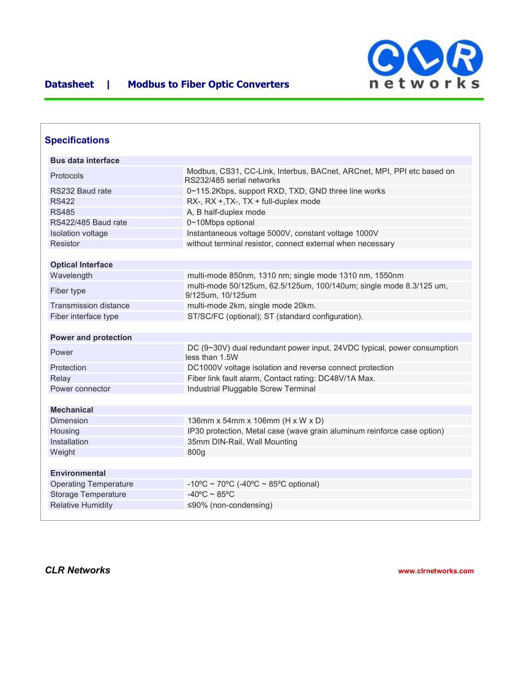

| <b>Specifications</b>        |                                                                                                     |
|------------------------------|-----------------------------------------------------------------------------------------------------|
| <b>Bus data interface</b>    |                                                                                                     |
| Protocols                    | Modbus, CS31, CC-Link, Interbus, BACnet, ARCnet, MPI, PPI etc based on<br>RS232/485 serial networks |
| RS232 Baud rate              | 0~115.2Kbps, support RXD, TXD, GND three line works                                                 |
| <b>RS422</b>                 | RX-, RX +, TX-, TX + full-duplex mode                                                               |
| <b>RS485</b>                 | A, B half-duplex mode                                                                               |
| RS422/485 Baud rate          | 0~10Mbps optional                                                                                   |
| Isolation voltage            | Instantaneous voltage 5000V, constant voltage 1000V                                                 |
| Resistor                     | without terminal resistor, connect external when necessary                                          |
| <b>Optical Interface</b>     |                                                                                                     |
| Wavelength                   | multi-mode 850nm, 1310 nm; single mode 1310 nm, 1550nm                                              |
| Fiber type                   | multi-mode 50/125um, 62.5/125um, 100/140um; single mode 8.3/125 um,<br>9/125um, 10/125um            |
| <b>Transmission distance</b> | multi-mode 2km, single mode 20km.                                                                   |
| Fiber interface type         | ST/SC/FC (optional); ST (standard configuration).                                                   |
| <b>Power and protection</b>  |                                                                                                     |
| Power                        | DC (9~30V) dual redundant power input, 24VDC typical, power consumption<br>less than 1.5W           |
| Protection                   | DC1000V voltage isolation and reverse connect protection                                            |
| Relay                        | Fiber link fault alarm, Contact rating: DC48V/1A Max.                                               |
| Power connector              | Industrial Pluggable Screw Terminal                                                                 |
| <b>Mechanical</b>            |                                                                                                     |
| Dimension                    | 136mm x 54mm x 106mm (H x W x D)                                                                    |
| Housing                      | IP30 protection, Metal case (wave grain aluminum reinforce case option)                             |
| Installation                 | 35mm DIN-Rail, Wall Mounting                                                                        |
| Weight                       | 800g                                                                                                |
| <b>Environmental</b>         |                                                                                                     |
| <b>Operating Temperature</b> | -10°C ~ 70°C (-40°C ~ 85°C optional)                                                                |
| <b>Storage Temperature</b>   | $-40^{\circ}$ C ~ 85°C                                                                              |
|                              |                                                                                                     |

*CLR Networks* **www.clrnetworks.com**